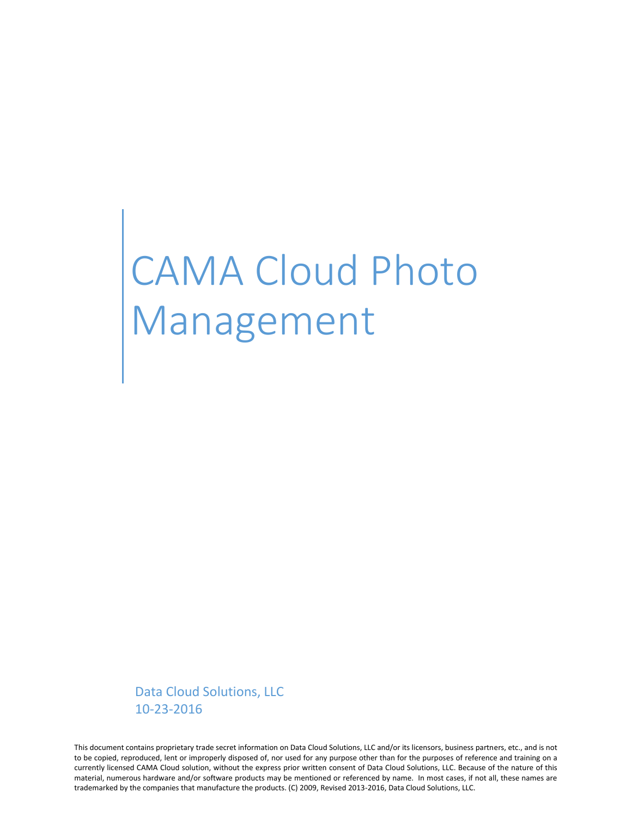# CAMA Cloud Photo Management

Data Cloud Solutions, LLC 10-23-2016

This document contains proprietary trade secret information on Data Cloud Solutions, LLC and/or its licensors, business partners, etc., and is not to be copied, reproduced, lent or improperly disposed of, nor used for any purpose other than for the purposes of reference and training on a currently licensed CAMA Cloud solution, without the express prior written consent of Data Cloud Solutions, LLC. Because of the nature of this material, numerous hardware and/or software products may be mentioned or referenced by name. In most cases, if not all, these names are trademarked by the companies that manufacture the products. (C) 2009, Revised 2013-2016, Data Cloud Solutions, LLC.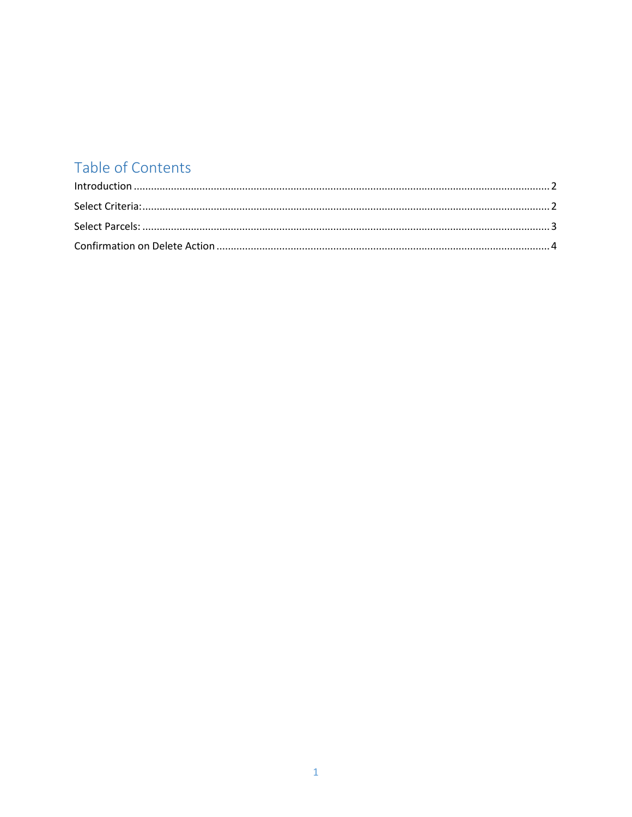## Table of Contents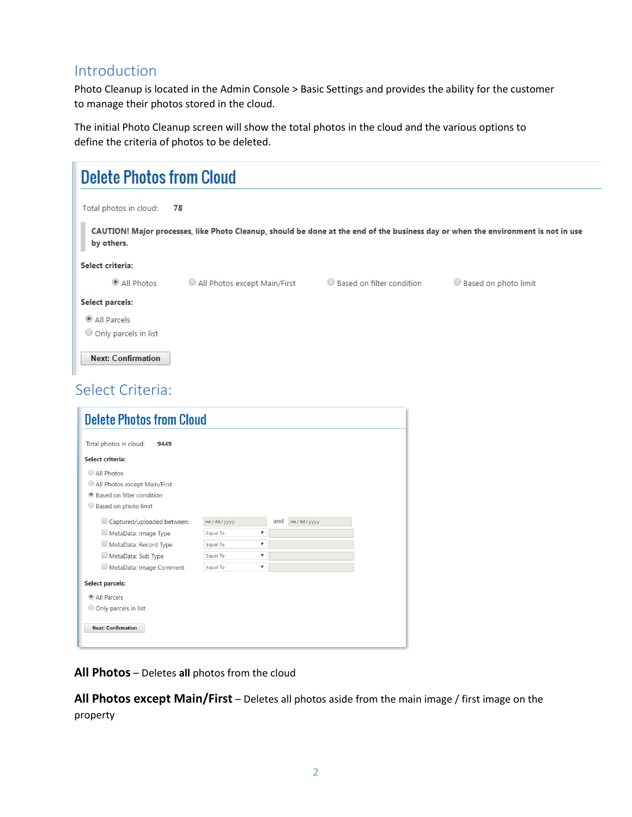## <span id="page-2-0"></span>Introduction

Photo Cleanup is located in the Admin Console > Basic Settings and provides the ability for the customer to manage their photos stored in the cloud.

The initial Photo Cleanup screen will show the total photos in the cloud and the various options to define the criteria of photos to be deleted.

| <b>Delete Photos from Cloud</b>       |                              |                           |                                                                                                                                   |
|---------------------------------------|------------------------------|---------------------------|-----------------------------------------------------------------------------------------------------------------------------------|
| Total photos in cloud:                | 78                           |                           |                                                                                                                                   |
| by others.                            |                              |                           | CAUTION! Major processes, like Photo Cleanup, should be done at the end of the business day or when the environment is not in use |
| Select criteria:                      |                              |                           |                                                                                                                                   |
| All Photos                            | All Photos except Main/First | Based on filter condition | ○ Based on photo limit                                                                                                            |
| <b>Select parcels:</b>                |                              |                           |                                                                                                                                   |
| All Parcels<br>O Only parcels in list |                              |                           |                                                                                                                                   |
| <b>Next: Confirmation</b>             |                              |                           |                                                                                                                                   |
| Select Criteria:                      |                              |                           |                                                                                                                                   |
| Delate Dhates from Cloud              |                              |                           |                                                                                                                                   |

<span id="page-2-1"></span>

| <b>Delete Photos from Cloud</b> |                                  |     |            |  |
|---------------------------------|----------------------------------|-----|------------|--|
| Total photos in cloud:<br>9449  |                                  |     |            |  |
| <b>Select criteria:</b>         |                                  |     |            |  |
| All Photos                      |                                  |     |            |  |
| All Photos except Main/First    |                                  |     |            |  |
| Based on filter condition       |                                  |     |            |  |
| Based on photo limit            |                                  |     |            |  |
| Captured/uploaded between:      | mm/dd/yyyy                       | and | mm/dd/yyyy |  |
| MetaData: Image Type            | Equal To<br>▼                    |     |            |  |
| MetaData: Record Type           | $\blacktriangledown$<br>Equal To |     |            |  |
| MetaData: Sub Type              | $\blacktriangledown$<br>Equal To |     |            |  |
| MetaData: Image Comment         | $\blacktriangledown$<br>Equal To |     |            |  |
| <b>Select parcels:</b>          |                                  |     |            |  |
| • All Parcels                   |                                  |     |            |  |
| O Only parcels in list          |                                  |     |            |  |
|                                 |                                  |     |            |  |
| <b>Next: Confirmation</b>       |                                  |     |            |  |
|                                 |                                  |     |            |  |

**All Photos** – Deletes **all** photos from the cloud

**All Photos except Main/First** – Deletes all photos aside from the main image / first image on the property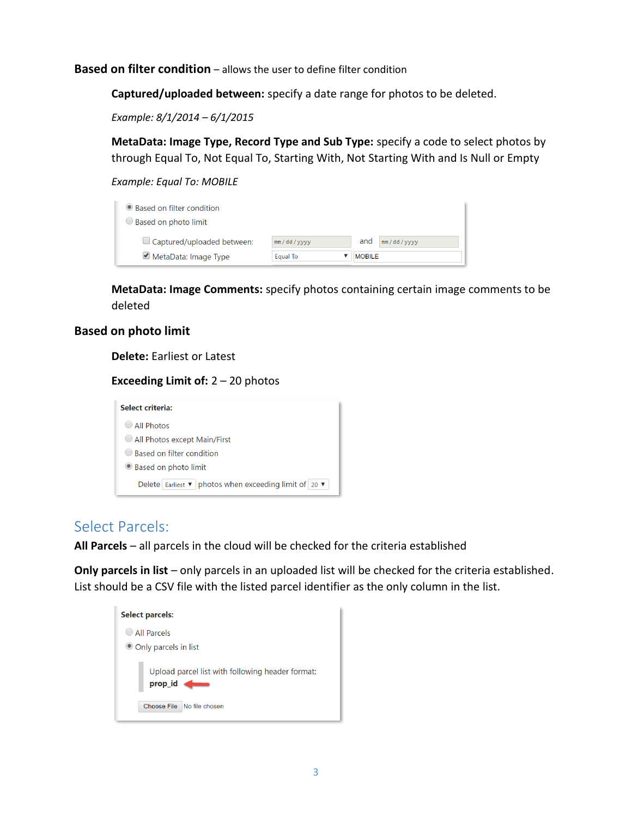**Based on filter condition** – allows the user to define filter condition

**Captured/uploaded between:** specify a date range for photos to be deleted.

*Example: 8/1/2014 – 6/1/2015* 

**MetaData: Image Type, Record Type and Sub Type:** specify a code to select photos by through Equal To, Not Equal To, Starting With, Not Starting With and Is Null or Empty

*Example: Equal To: MOBILE*

| ● Based on filter condition<br>Based on photo limit |            |                   |
|-----------------------------------------------------|------------|-------------------|
| $\Box$ Captured/uploaded between:                   | mm/dd/yyyy | and<br>mm/dd/yyyy |
| MetaData: Image Type                                | Equal To   | <b>MOBILE</b>     |

**MetaData: Image Comments:** specify photos containing certain image comments to be deleted

#### **Based on photo limit**

**Delete:** Earliest or Latest

**Exceeding Limit of:** 2 – 20 photos

| Select criteria:                                                                                  |
|---------------------------------------------------------------------------------------------------|
| All Photos                                                                                        |
| All Photos except Main/First                                                                      |
| Based on filter condition                                                                         |
| Based on photo limit                                                                              |
| Delete   Earliest $\blacktriangledown$   photos when exceeding limit of   20 $\blacktriangledown$ |

### <span id="page-3-0"></span>Select Parcels:

**All Parcels** – all parcels in the cloud will be checked for the criteria established

**Only parcels in list** – only parcels in an uploaded list will be checked for the criteria established. List should be a CSV file with the listed parcel identifier as the only column in the list.

| <b>Select parcels:</b>                                      |
|-------------------------------------------------------------|
| All Parcels                                                 |
| Only parcels in list                                        |
| Upload parcel list with following header format:<br>prop_id |
| Choose File No file chosen                                  |